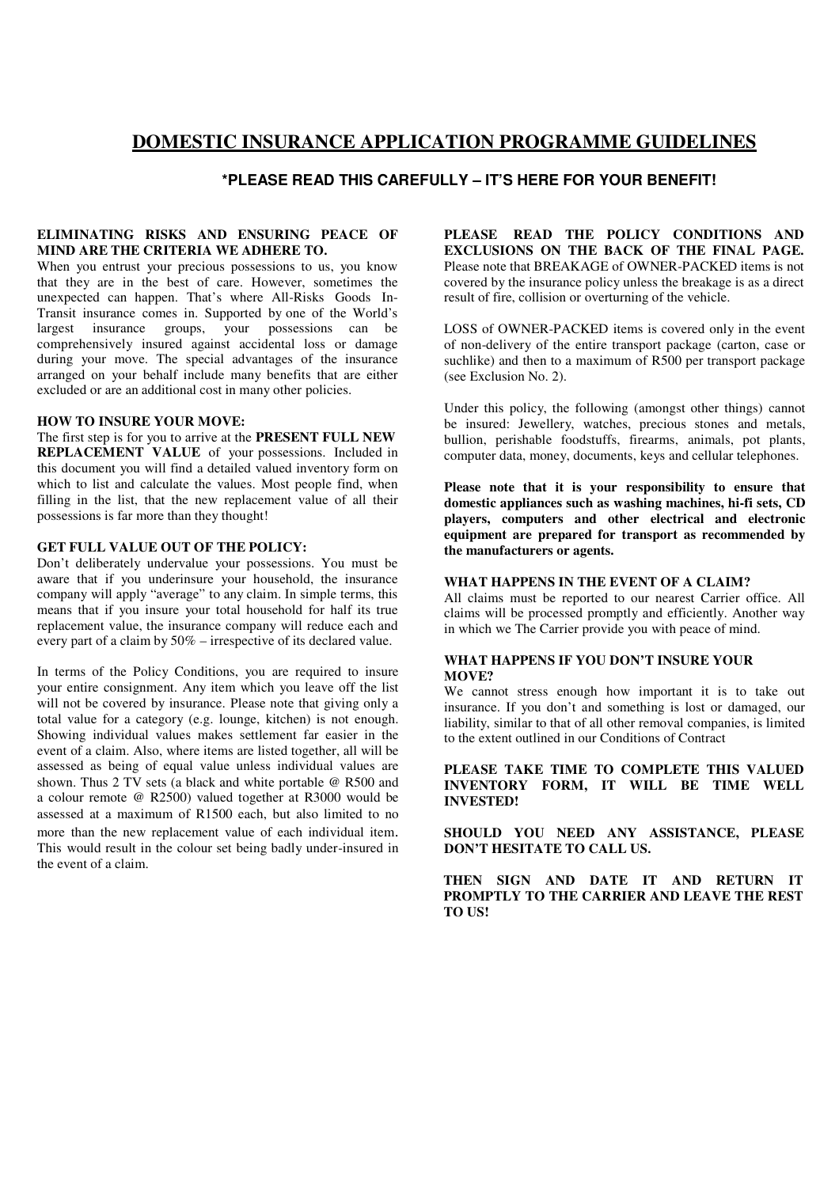# **DOMESTIC INSURANCE APPLICATION PROGRAMME GUIDELINES**

# **\*PLEASE READ THIS CAREFULLY – IT'S HERE FOR YOUR BENEFIT!**

### **ELIMINATING RISKS AND ENSURING PEACE OF MIND ARE THE CRITERIA WE ADHERE TO.**

When you entrust your precious possessions to us, you know that they are in the best of care. However, sometimes the unexpected can happen. That's where All-Risks Goods In-Transit insurance comes in. Supported by one of the World's largest insurance groups, your possessions can be comprehensively insured against accidental loss or damage during your move. The special advantages of the insurance arranged on your behalf include many benefits that are either excluded or are an additional cost in many other policies.

### **HOW TO INSURE YOUR MOVE:**

The first step is for you to arrive at the **PRESENT FULL NEW REPLACEMENT VALUE** of your possessions. Included in this document you will find a detailed valued inventory form on which to list and calculate the values. Most people find, when filling in the list, that the new replacement value of all their possessions is far more than they thought!

## **GET FULL VALUE OUT OF THE POLICY:**

Don't deliberately undervalue your possessions. You must be aware that if you underinsure your household, the insurance company will apply "average" to any claim. In simple terms, this means that if you insure your total household for half its true replacement value, the insurance company will reduce each and every part of a claim by 50% – irrespective of its declared value.

In terms of the Policy Conditions, you are required to insure your entire consignment. Any item which you leave off the list will not be covered by insurance. Please note that giving only a total value for a category (e.g. lounge, kitchen) is not enough. Showing individual values makes settlement far easier in the event of a claim. Also, where items are listed together, all will be assessed as being of equal value unless individual values are shown. Thus 2 TV sets (a black and white portable @ R500 and a colour remote @ R2500) valued together at R3000 would be assessed at a maximum of R1500 each, but also limited to no more than the new replacement value of each individual item. This would result in the colour set being badly under-insured in the event of a claim.

**PLEASE READ THE POLICY CONDITIONS AND EXCLUSIONS ON THE BACK OF THE FINAL PAGE.**  Please note that BREAKAGE of OWNER-PACKED items is not covered by the insurance policy unless the breakage is as a direct result of fire, collision or overturning of the vehicle.

LOSS of OWNER-PACKED items is covered only in the event of non-delivery of the entire transport package (carton, case or suchlike) and then to a maximum of R500 per transport package (see Exclusion No. 2).

Under this policy, the following (amongst other things) cannot be insured: Jewellery, watches, precious stones and metals, bullion, perishable foodstuffs, firearms, animals, pot plants, computer data, money, documents, keys and cellular telephones.

**Please note that it is your responsibility to ensure that domestic appliances such as washing machines, hi-fi sets, CD players, computers and other electrical and electronic equipment are prepared for transport as recommended by the manufacturers or agents.**

### **WHAT HAPPENS IN THE EVENT OF A CLAIM?**

All claims must be reported to our nearest Carrier office. All claims will be processed promptly and efficiently. Another way in which we The Carrier provide you with peace of mind.

### **WHAT HAPPENS IF YOU DON'T INSURE YOUR MOVE?**

We cannot stress enough how important it is to take out insurance. If you don't and something is lost or damaged, our liability, similar to that of all other removal companies, is limited to the extent outlined in our Conditions of Contract

### **PLEASE TAKE TIME TO COMPLETE THIS VALUED INVENTORY FORM, IT WILL BE TIME WELL INVESTED!**

**SHOULD YOU NEED ANY ASSISTANCE, PLEASE DON'T HESITATE TO CALL US.**

**THEN SIGN AND DATE IT AND RETURN IT PROMPTLY TO THE CARRIER AND LEAVE THE REST TO US!**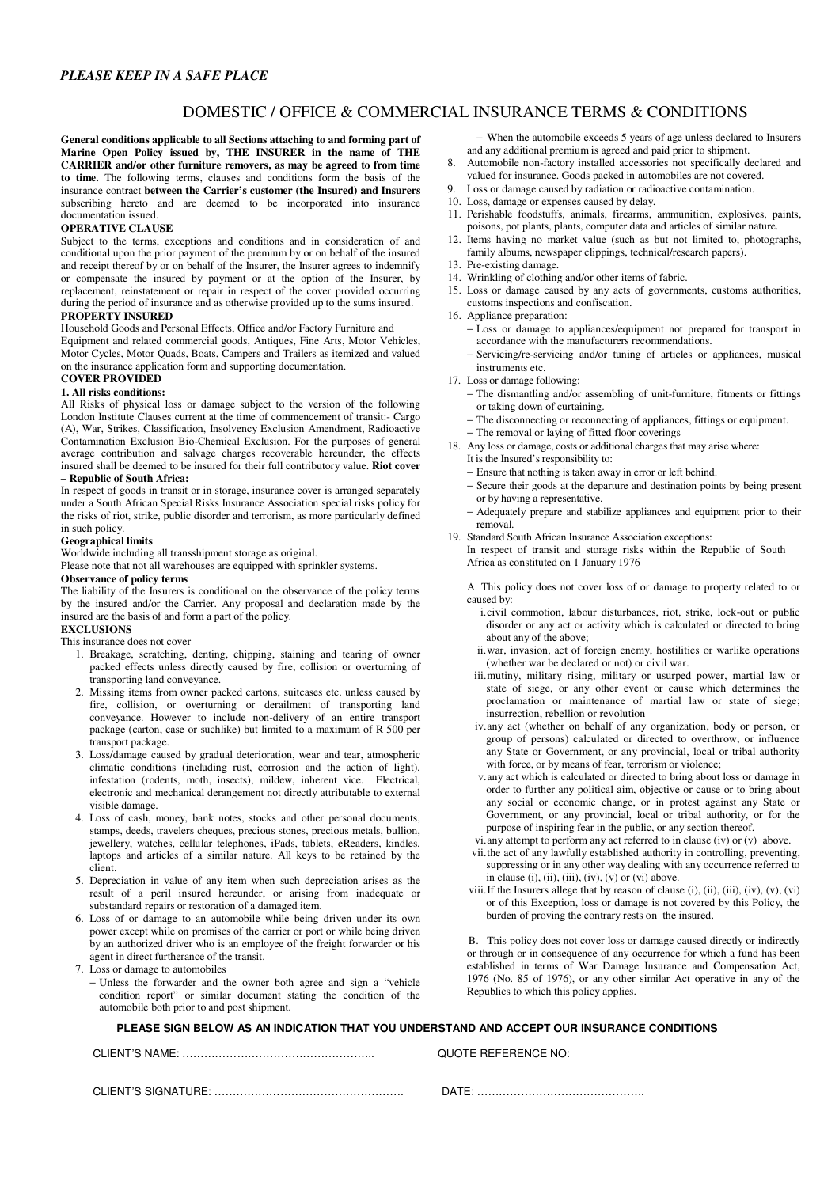### *PLEASE KEEP IN A SAFE PLACE*

# DOMESTIC / OFFICE & COMMERCIAL INSURANCE TERMS & CONDITIONS

**General conditions applicable to all Sections attaching to and forming part of Marine Open Policy issued by, THE INSURER in the name of THE CARRIER and/or other furniture removers, as may be agreed to from time to time.** The following terms, clauses and conditions form the basis of the insurance contract **between the Carrier's customer (the Insured) and Insurers** subscribing hereto and are deemed to be incorporated into insurance documentation issued.

#### **OPERATIVE CLAUSE**

Subject to the terms, exceptions and conditions and in consideration of and conditional upon the prior payment of the premium by or on behalf of the insured and receipt thereof by or on behalf of the Insurer, the Insurer agrees to indemnify or compensate the insured by payment or at the option of the Insurer, by replacement, reinstatement or repair in respect of the cover provided occurring during the period of insurance and as otherwise provided up to the sums insured. **PROPERTY INSURED**

Household Goods and Personal Effects, Office and/or Factory Furniture and Equipment and related commercial goods, Antiques, Fine Arts, Motor Vehicles, Motor Cycles, Motor Quads, Boats, Campers and Trailers as itemized and valued on the insurance application form and supporting documentation.

# **COVER PROVIDED**

### **1. All risks conditions:**

All Risks of physical loss or damage subject to the version of the following London Institute Clauses current at the time of commencement of transit:- Cargo (A), War, Strikes, Classification, Insolvency Exclusion Amendment, Radioactive Contamination Exclusion Bio-Chemical Exclusion. For the purposes of general average contribution and salvage charges recoverable hereunder, the effects insured shall be deemed to be insured for their full contributory value. **Riot cover – Republic of South Africa:**

In respect of goods in transit or in storage, insurance cover is arranged separately under a South African Special Risks Insurance Association special risks policy for the risks of riot, strike, public disorder and terrorism, as more particularly defined in such policy.

#### **Geographical limits**

Worldwide including all transshipment storage as original.

Please note that not all warehouses are equipped with sprinkler systems.

### **Observance of policy terms**

The liability of the Insurers is conditional on the observance of the policy terms by the insured and/or the Carrier. Any proposal and declaration made by the insured are the basis of and form a part of the policy.

### **EXCLUSIONS**

This insurance does not cover

- 1. Breakage, scratching, denting, chipping, staining and tearing of owner packed effects unless directly caused by fire, collision or overturning of transporting land conveyance.
- 2. Missing items from owner packed cartons, suitcases etc. unless caused by fire, collision, or overturning or derailment of transporting land conveyance. However to include non-delivery of an entire transport package (carton, case or suchlike) but limited to a maximum of R 500 per transport package.
- 3. Loss/damage caused by gradual deterioration, wear and tear, atmospheric climatic conditions (including rust, corrosion and the action of light), infestation (rodents, moth, insects), mildew, inherent vice. Electrical, electronic and mechanical derangement not directly attributable to external visible damage.
- 4. Loss of cash, money, bank notes, stocks and other personal documents, stamps, deeds, travelers cheques, precious stones, precious metals, bullion, jewellery, watches, cellular telephones, iPads, tablets, eReaders, kindles, laptops and articles of a similar nature. All keys to be retained by the client.
- 5. Depreciation in value of any item when such depreciation arises as the result of a peril insured hereunder, or arising from inadequate or substandard repairs or restoration of a damaged item.
- 6. Loss of or damage to an automobile while being driven under its own power except while on premises of the carrier or port or while being driven by an authorized driver who is an employee of the freight forwarder or his agent in direct furtherance of the transit.

7. Loss or damage to automobiles

− Unless the forwarder and the owner both agree and sign a "vehicle condition report" or similar document stating the condition of the automobile both prior to and post shipment.

− When the automobile exceeds 5 years of age unless declared to Insurers and any additional premium is agreed and paid prior to shipment.

- 8. Automobile non-factory installed accessories not specifically declared and valued for insurance. Goods packed in automobiles are not covered.
- 9. Loss or damage caused by radiation or radioactive contamination.
- 10. Loss, damage or expenses caused by delay.
- 11. Perishable foodstuffs, animals, firearms, ammunition, explosives, paints, poisons, pot plants, plants, computer data and articles of similar nature.
- 12. Items having no market value (such as but not limited to, photographs,
- family albums, newspaper clippings, technical/research papers).
- 13. Pre-existing damage.
- 14. Wrinkling of clothing and/or other items of fabric.
- 15. Loss or damage caused by any acts of governments, customs authorities, customs inspections and confiscation.
- 16. Appliance preparation:
	- − Loss or damage to appliances/equipment not prepared for transport in accordance with the manufacturers recommendations.
	- − Servicing/re-servicing and/or tuning of articles or appliances, musical instruments etc.

17. Loss or damage following:

- − The dismantling and/or assembling of unit-furniture, fitments or fittings or taking down of curtaining.
- The disconnecting or reconnecting of appliances, fittings or equipment.
- − The removal or laying of fitted floor coverings
- 18. Any loss or damage, costs or additional charges that may arise where:
	- It is the Insured's responsibility to:
	- − Ensure that nothing is taken away in error or left behind.
	- Secure their goods at the departure and destination points by being present or by having a representative.
	- − Adequately prepare and stabilize appliances and equipment prior to their removal.
- 19. Standard South African Insurance Association exceptions:
	- In respect of transit and storage risks within the Republic of South Africa as constituted on 1 January 1976
		- A. This policy does not cover loss of or damage to property related to or caused by:
			- i.civil commotion, labour disturbances, riot, strike, lock-out or public disorder or any act or activity which is calculated or directed to bring about any of the above;
			- ii.war, invasion, act of foreign enemy, hostilities or warlike operations (whether war be declared or not) or civil war.
		- iii.mutiny, military rising, military or usurped power, martial law or state of siege, or any other event or cause which determines the proclamation or maintenance of martial law or state of siege; insurrection, rebellion or revolution
		- iv.any act (whether on behalf of any organization, body or person, or group of persons) calculated or directed to overthrow, or influence any State or Government, or any provincial, local or tribal authority with force, or by means of fear, terrorism or violence;
		- v.any act which is calculated or directed to bring about loss or damage in order to further any political aim, objective or cause or to bring about any social or economic change, or in protest against any State or Government, or any provincial, local or tribal authority, or for the purpose of inspiring fear in the public, or any section thereof.
		- vi.any attempt to perform any act referred to in clause (iv) or (v) above.
		- vii.the act of any lawfully established authority in controlling, preventing, suppressing or in any other way dealing with any occurrence referred to in clause  $(i)$ ,  $(ii)$ ,  $(iii)$ ,  $(iv)$ ,  $(v)$  or  $(vi)$  above.
		- viii. If the Insurers allege that by reason of clause (i), (ii), (iii), (iv), (v), (vi) or of this Exception, loss or damage is not covered by this Policy, the burden of proving the contrary rests on the insured.

 B. This policy does not cover loss or damage caused directly or indirectly or through or in consequence of any occurrence for which a fund has been established in terms of War Damage Insurance and Compensation Act, 1976 (No. 85 of 1976), or any other similar Act operative in any of the Republics to which this policy applies.

### **PLEASE SIGN BELOW AS AN INDICATION THAT YOU UNDERSTAND AND ACCEPT OUR INSURANCE CONDITIONS**

CLIOTE BEFERENCE NO:

| CLIE<br>. זר<br>. .<br>'N<br>alNP<br>,,, |  |
|------------------------------------------|--|
|                                          |  |